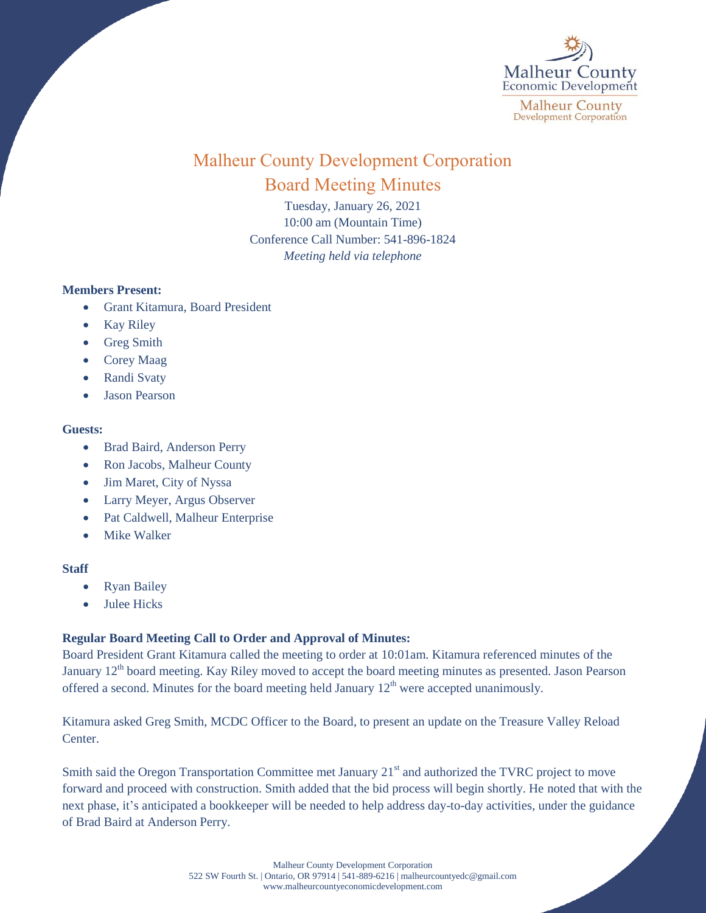

# Malheur County Development Corporation Board Meeting Minutes

Tuesday, January 26, 2021 10:00 am (Mountain Time) Conference Call Number: 541-896-1824 *Meeting held via telephone*

## **Members Present:**

- Grant Kitamura, Board President
- Kay Riley
- Greg Smith
- Corey Maag
- Randi Svaty
- Jason Pearson

## **Guests:**

- Brad Baird, Anderson Perry
- Ron Jacobs, Malheur County
- Jim Maret, City of Nyssa
- Larry Meyer, Argus Observer
- Pat Caldwell, Malheur Enterprise
- Mike Walker

## **Staff**

- Ryan Bailey
- Julee Hicks

## **Regular Board Meeting Call to Order and Approval of Minutes:**

Board President Grant Kitamura called the meeting to order at 10:01am. Kitamura referenced minutes of the January  $12<sup>th</sup>$  board meeting. Kay Riley moved to accept the board meeting minutes as presented. Jason Pearson offered a second. Minutes for the board meeting held January  $12<sup>th</sup>$  were accepted unanimously.

Kitamura asked Greg Smith, MCDC Officer to the Board, to present an update on the Treasure Valley Reload Center.

Smith said the Oregon Transportation Committee met January 21<sup>st</sup> and authorized the TVRC project to move forward and proceed with construction. Smith added that the bid process will begin shortly. He noted that with the next phase, it's anticipated a bookkeeper will be needed to help address day-to-day activities, under the guidance of Brad Baird at Anderson Perry.

> Malheur County Development Corporation 522 SW Fourth St. | Ontario, OR 97914 | 541-889-6216 [| malheurcountyedc@gmail.com](mailto:malheurcountyedc@gmail.com) [www.malheurcountyeconomicdevelopment.com](http://www.malheurcountyeconomicdevelopment.com/)